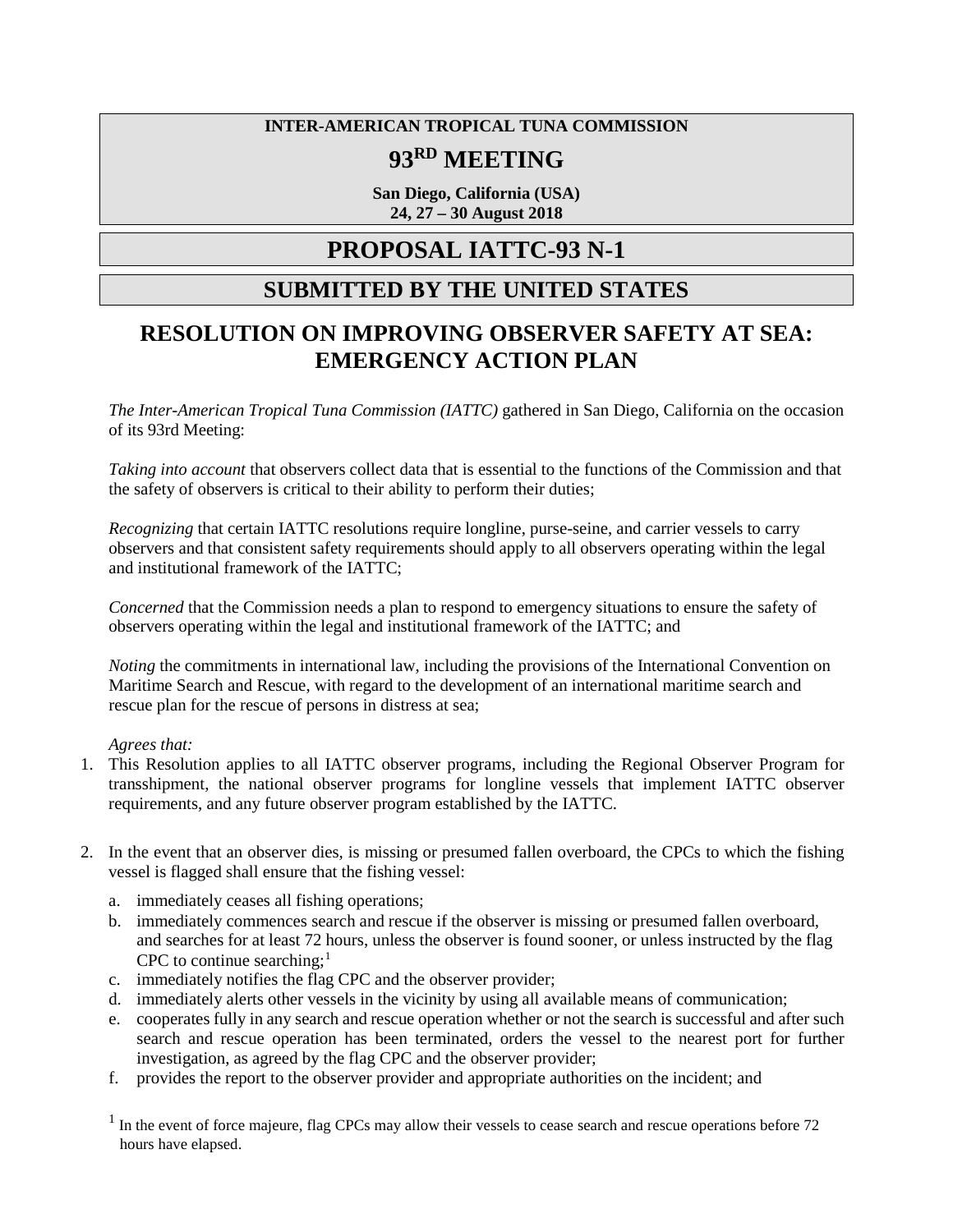### **INTER-AMERICAN TROPICAL TUNA COMMISSION**

# **93RD MEETING**

**San Diego, California (USA) 24, 27 – 30 August 2018**

## **PROPOSAL IATTC-93 N-1**

### **SUBMITTED BY THE UNITED STATES**

## **RESOLUTION ON IMPROVING OBSERVER SAFETY AT SEA: EMERGENCY ACTION PLAN**

*The Inter-American Tropical Tuna Commission (IATTC)* gathered in San Diego, California on the occasion of its 93rd Meeting:

*Taking into account* that observers collect data that is essential to the functions of the Commission and that the safety of observers is critical to their ability to perform their duties;

*Recognizing* that certain IATTC resolutions require longline, purse-seine, and carrier vessels to carry observers and that consistent safety requirements should apply to all observers operating within the legal and institutional framework of the IATTC;

*Concerned* that the Commission needs a plan to respond to emergency situations to ensure the safety of observers operating within the legal and institutional framework of the IATTC; and

*Noting* the commitments in international law, including the provisions of the International Convention on Maritime Search and Rescue, with regard to the development of an international maritime search and rescue plan for the rescue of persons in distress at sea;

### *Agrees that:*

- 1. This Resolution applies to all IATTC observer programs, including the Regional Observer Program for transshipment, the national observer programs for longline vessels that implement IATTC observer requirements, and any future observer program established by the IATTC.
- 2. In the event that an observer dies, is missing or presumed fallen overboard, the CPCs to which the fishing vessel is flagged shall ensure that the fishing vessel:
	- a. immediately ceases all fishing operations;
	- b. immediately commences search and rescue if the observer is missing or presumed fallen overboard, and searches for at least 72 hours, unless the observer is found sooner, or unless instructed by the flag CPC to continue searching: $<sup>1</sup>$  $<sup>1</sup>$  $<sup>1</sup>$ </sup>
	- c. immediately notifies the flag CPC and the observer provider;
	- d. immediately alerts other vessels in the vicinity by using all available means of communication;
	- e. cooperates fully in any search and rescue operation whether or not the search is successful and after such search and rescue operation has been terminated, orders the vessel to the nearest port for further investigation, as agreed by the flag CPC and the observer provider;
	- f. provides the report to the observer provider and appropriate authorities on the incident; and

<span id="page-0-0"></span><sup>1</sup> In the event of force majeure, flag CPCs may allow their vessels to cease search and rescue operations before 72 hours have elapsed.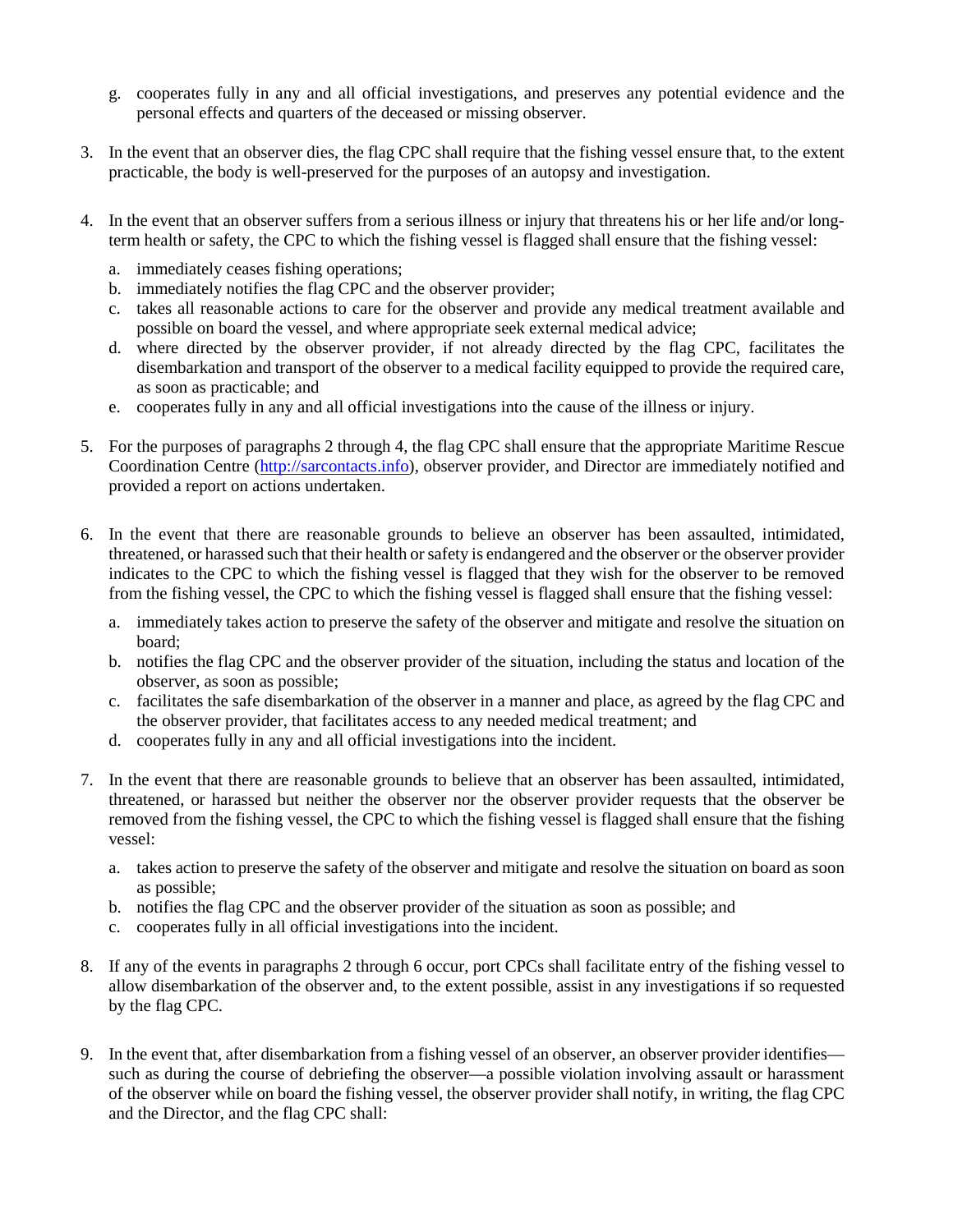- g. cooperates fully in any and all official investigations, and preserves any potential evidence and the personal effects and quarters of the deceased or missing observer.
- 3. In the event that an observer dies, the flag CPC shall require that the fishing vessel ensure that, to the extent practicable, the body is well-preserved for the purposes of an autopsy and investigation.
- 4. In the event that an observer suffers from a serious illness or injury that threatens his or her life and/or longterm health or safety, the CPC to which the fishing vessel is flagged shall ensure that the fishing vessel:
	- a. immediately ceases fishing operations;
	- b. immediately notifies the flag CPC and the observer provider;
	- c. takes all reasonable actions to care for the observer and provide any medical treatment available and possible on board the vessel, and where appropriate seek external medical advice;
	- d. where directed by the observer provider, if not already directed by the flag CPC, facilitates the disembarkation and transport of the observer to a medical facility equipped to provide the required care, as soon as practicable; and
	- e. cooperates fully in any and all official investigations into the cause of the illness or injury.
- 5. For the purposes of paragraphs 2 through 4, the flag CPC shall ensure that the appropriate Maritime Rescue Coordination Centre [\(http://sarcontacts.info\)](http://sarcontacts.info/), observer provider, and Director are immediately notified and provided a report on actions undertaken.
- 6. In the event that there are reasonable grounds to believe an observer has been assaulted, intimidated, threatened, or harassed such that their health or safety is endangered and the observer or the observer provider indicates to the CPC to which the fishing vessel is flagged that they wish for the observer to be removed from the fishing vessel, the CPC to which the fishing vessel is flagged shall ensure that the fishing vessel:
	- a. immediately takes action to preserve the safety of the observer and mitigate and resolve the situation on board;
	- b. notifies the flag CPC and the observer provider of the situation, including the status and location of the observer, as soon as possible;
	- c. facilitates the safe disembarkation of the observer in a manner and place, as agreed by the flag CPC and the observer provider, that facilitates access to any needed medical treatment; and
	- d. cooperates fully in any and all official investigations into the incident.
- 7. In the event that there are reasonable grounds to believe that an observer has been assaulted, intimidated, threatened, or harassed but neither the observer nor the observer provider requests that the observer be removed from the fishing vessel, the CPC to which the fishing vessel is flagged shall ensure that the fishing vessel:
	- a. takes action to preserve the safety of the observer and mitigate and resolve the situation on board as soon as possible;
	- b. notifies the flag CPC and the observer provider of the situation as soon as possible; and
	- c. cooperates fully in all official investigations into the incident.
- 8. If any of the events in paragraphs 2 through 6 occur, port CPCs shall facilitate entry of the fishing vessel to allow disembarkation of the observer and, to the extent possible, assist in any investigations if so requested by the flag CPC.
- 9. In the event that, after disembarkation from a fishing vessel of an observer, an observer provider identifies such as during the course of debriefing the observer—a possible violation involving assault or harassment of the observer while on board the fishing vessel, the observer provider shall notify, in writing, the flag CPC and the Director, and the flag CPC shall: